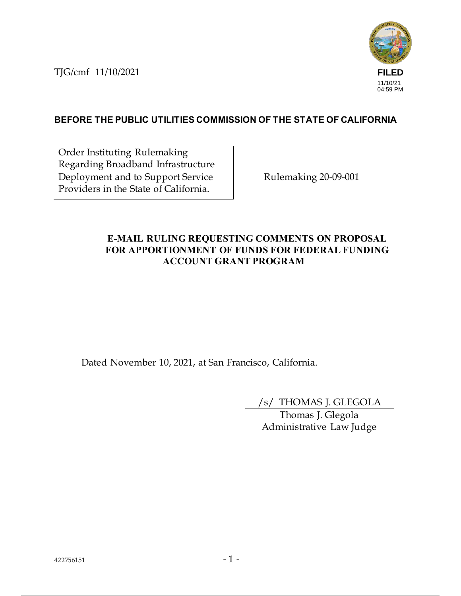TJG/cmf 11/10/2021



# **BEFORE THE PUBLIC UTILITIES COMMISSION OF THE STATE OF CALIFORNIA**

Order Instituting Rulemaking Regarding Broadband Infrastructure Deployment and to Support Service Providers in the State of California.

Rulemaking 20-09-001

## **E-MAIL RULING REQUESTING COMMENTS ON PROPOSAL FOR APPORTIONMENT OF FUNDS FOR FEDERAL FUNDING ACCOUNT GRANT PROGRAM**

Dated November 10, 2021, at San Francisco, California.

/s/ THOMAS J. GLEGOLA

Thomas J. Glegola Administrative Law Judge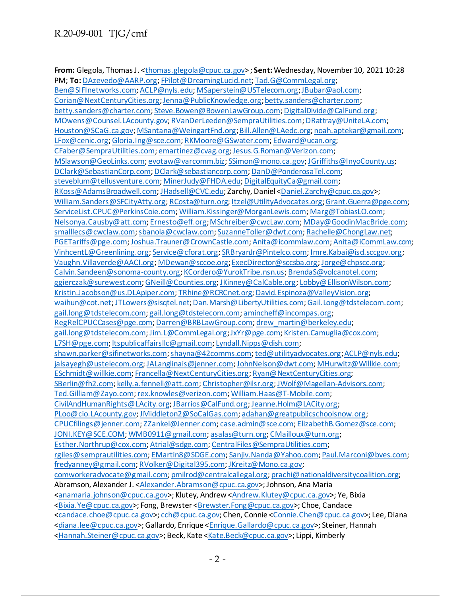**From:** Glegola, Thomas J. <thomas.glegola@cpuc.ca.gov> ; **Sent:** Wednesday, November 10, 2021 10:28 PM; **To:** DAzevedo@AARP.org; FPilot@DreamingLucid.net; Tad.G@CommLegal.org; Ben@SIFInetworks.com; ACLP@nyls.edu; MSaperstein@USTelecom.org; JBubar@aol.com; Corian@NextCenturyCities.org; Jenna@PublicKnowledge.org; betty.sanders@charter.com; betty.sanders@charter.com; Steve.Bowen@BowenLawGroup.com; DigitalDivide@CalFund.org; MOwens@Counsel.LAcounty.gov; RVanDerLeeden@SempraUtilities.com; DRattray@UniteLA.com; Houston@SCaG.ca.gov; MSantana@WeingartFnd.org; Bill.Allen@LAedc.org; noah.aptekar@gmail.com; LFox@cenic.org; Gloria.Ing@sce.com; RKMoore@GSwater.com; Edward@ucan.org; CFaber@SempraUtilities.com; emartinez@cvag.org; Jesus.G.Roman@Verizon.com; MSlawson@GeoLinks.com; evotaw@varcomm.biz; SSimon@mono.ca.gov; JGriffiths@InyoCounty.us; DClark@SebastianCorp.com; DClark@sebastiancorp.com; DanD@PonderosaTel.com; steveblum@tellusventure.com; MinerJudy@FHDA.edu; DigitalEquityCa@gmail.com; RKoss@AdamsBroadwell.com; JHadsell@CVC.edu; Zarchy, Daniel <Daniel.Zarchy@cpuc.ca.gov>; William.Sanders@SFCityAtty.org; RCosta@turn.org; Itzel@UtilityAdvocates.org; Grant.Guerra@pge.com; ServiceList.CPUC@PerkinsCoie.com; William.Kissinger@MorganLewis.com; Marg@TobiasLO.com; Nelsonya.Causby@att.com; Ernesto@eff.org; MSchreiber@cwcLaw.com; MDay@GoodinMacBride.com; smalllecs@cwclaw.com; sbanola@cwclaw.com; SuzanneToller@dwt.com; Rachelle@ChongLaw.net; PGETariffs@pge.com; Joshua.Trauner@CrownCastle.com; Anita@icommlaw.com; Anita@iCommLaw.com; VinhcentL@Greenlining.org; Service@cforat.org; SRBryanJr@Pintelco.com; Imre.Kabai@isd.sccgov.org; Vaughn.Villaverde@AACI.org; MDewan@sccoe.org; ExecDirector@sccsba.org; Jorge@chpscc.org; Calvin.Sandeen@sonoma-county.org; KCordero@YurokTribe.nsn.us; BrendaS@volcanotel.com; ggierczak@surewest.com; GNeill@Counties.org; JKinney@CalCable.org; Lobby@EllisonWilson.com; Kristin.Jacobson@us.DLApiper.com; TRhine@RCRCnet.org; David.Espinoza@ValleyVision.org; waihun@cot.net; JTLowers@sisqtel.net; Dan.Marsh@LibertyUtilities.com; Gail.Long@tdstelecom.com; gail.long@tdstelecom.com; gail.long@tdstelecom.com; amincheff@incompas.org; RegRelCPUCCases@pge.com; Darren@BRBLawGroup.com; drew\_martin@berkeley.edu; gail.long@tdstelecom.com; Jim.L@CommLegal.org; JxYr@pge.com; Kristen.Camuglia@cox.com; L7SH@pge.com; ltspublicaffairsllc@gmail.com; Lyndall.Nipps@dish.com; shawn.parker@sifinetworks.com; shayna@42comms.com; ted@utilityadvocates.org; ACLP@nyls.edu; jalsayegh@ustelecom.org; JALanglinais@jenner.com; JohnNelson@dwt.com; MHurwitz@Willkie.com; ESchmidt@willkie.com; Francella@NextCenturyCities.org; Ryan@NextCenturyCities.org; SBerlin@fh2.com; kelly.a.fennell@att.com; Christopher@ilsr.org; JWolf@Magellan-Advisors.com; Ted.Gilliam@Zayo.com; rex.knowles@verizon.com; William.Haas@T-Mobile.com; CivilAndHumanRights@LAcity.org; JBarrios@CalFund.org; Jeanne.Holm@LACity.org; PLoo@cio.LAcounty.gov; JMiddleton2@SoCalGas.com; adahan@greatpublicschoolsnow.org; CPUCfilings@jenner.com; ZZankel@Jenner.com; case.admin@sce.com; ElizabethB.Gomez@sce.com; JONI.KEY@SCE.COM; WMB0911@gmail.com; asalas@turn.org; CMailloux@turn.org; Esther.Northrup@cox.com; Atrial@sdge.com; CentralFiles@SempraUtilities.com; rgiles@semprautilities.com; EMartin8@SDGE.com; Sanjiv.Nanda@Yahoo.com; Paul.Marconi@bves.com; fredyanney@gmail.com; RVolker@Digital395.com; JKreitz@Mono.ca.gov; comworkeradvocate@gmail.com; pmilrod@centralcallegal.org; prachi@nationaldiversitycoalition.org; Abramson, Alexander J. < Alexander. Abramson@cpuc.ca.gov>; Johnson, Ana Maria <anamaria.johnson@cpuc.ca.gov>; Klutey, Andrew <Andrew.Klutey@cpuc.ca.gov>; Ye, Bixia <Bixia.Ye@cpuc.ca.gov>; Fong, Brewster <Brewster.Fong@cpuc.ca.gov>; Choe, Candace <candace.choe@cpuc.ca.gov>; cch@cpuc.ca.gov; Chen, Connie <Connie.Chen@cpuc.ca.gov>; Lee, Diana <diana.lee@cpuc.ca.gov>; Gallardo, Enrique <Enrique.Gallardo@cpuc.ca.gov>; Steiner, Hannah <Hannah.Steiner@cpuc.ca.gov>; Beck, Kate <Kate.Beck@cpuc.ca.gov>; Lippi, Kimberly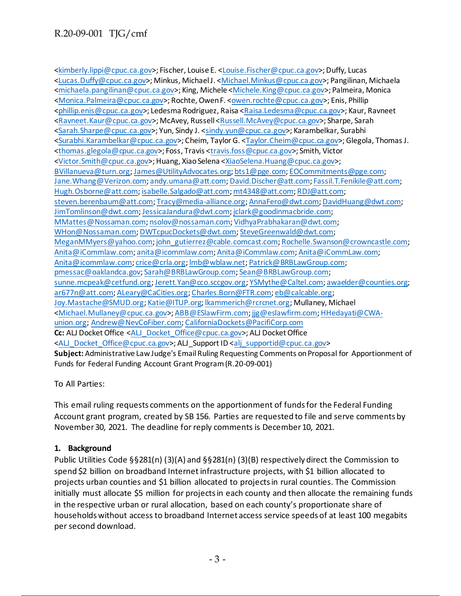<kimberly.lippi@cpuc.ca.gov>; Fischer, Louise E. <Louise.Fischer@cpuc.ca.gov>; Duffy, Lucas <Lucas.Duffy@cpuc.ca.gov>; Minkus, Michael J. <Michael.Minkus@cpuc.ca.gov>; Pangilinan, Michaela <michaela.pangilinan@cpuc.ca.gov>; King, Michele <Michele.King@cpuc.ca.gov>; Palmeira, Monica <Monica.Palmeira@cpuc.ca.gov>; Rochte, Owen F. <owen.rochte@cpuc.ca.gov>; Enis, Phillip <phillip.enis@cpuc.ca.gov>; Ledesma Rodriguez, Raisa <Raisa.Ledesma@cpuc.ca.gov>; Kaur, Ravneet <Ravneet.Kaur@cpuc.ca.gov>; McAvey, Russell <Russell.McAvey@cpuc.ca.gov>; Sharpe, Sarah <Sarah.Sharpe@cpuc.ca.gov>; Yun, Sindy J. <sindy.yun@cpuc.ca.gov>; Karambelkar, Surabhi <Surabhi.Karambelkar@cpuc.ca.gov>; Cheim, Taylor G. <Taylor.Cheim@cpuc.ca.gov>; Glegola, Thomas J. <thomas.glegola@cpuc.ca.gov>; Foss, Travis <travis.foss@cpuc.ca.gov>; Smith, Victor <Victor.Smith@cpuc.ca.gov>; Huang, Xiao Selena <XiaoSelena.Huang@cpuc.ca.gov>; BVillanueva@turn.org; James@UtilityAdvocates.org; bts1@pge.com; EOCommitments@pge.com; Jane.Whang@Verizon.com; andy.umana@att.com; David.Discher@att.com; Fassil.T.Fenikile@att.com; Hugh.Osborne@att.com; isabelle.Salgado@att.com; mt4348@att.com; RDJ@att.com; steven.berenbaum@att.com; Tracy@media-alliance.org; AnnaFero@dwt.com; DavidHuang@dwt.com; JimTomlinson@dwt.com; JessicaJandura@dwt.com; jclark@goodinmacbride.com; MMattes@Nossaman.com; nsolov@nossaman.com; VidhyaPrabhakaran@dwt.com; WHon@Nossaman.com; DWTcpucDockets@dwt.com; SteveGreenwald@dwt.com; MeganMMyers@yahoo.com; john\_gutierrez@cable.comcast.com; Rochelle.Swanson@crowncastle.com; Anita@iCommlaw.com; anita@icommlaw.com; Anita@iCommlaw.com; Anita@iCommLaw.com; Anita@icommlaw.com; crice@crla.org; lmb@wblaw.net; Patrick@BRBLawGroup.com; pmessac@oaklandca.gov; Sarah@BRBLawGroup.com; Sean@BRBLawGroup.com; sunne.mcpeak@cetfund.org; Jerett.Yan@cco.sccgov.org; YSMythe@Caltel.com; awaelder@counties.org; ar677n@att.com; ALeary@CaCities.org; Charles.Born@FTR.com; eb@calcable.org; Joy.Mastache@SMUD.org; Katie@ITUP.org; lkammerich@rcrcnet.org; Mullaney, Michael <Michael.Mullaney@cpuc.ca.gov>; ABB@ESlawFirm.com; jjg@eslawfirm.com; HHedayati@CWAunion.org; Andrew@NevCoFiber.com; CaliforniaDockets@PacifiCorp.com **Cc:** ALJ Docket Office <ALJ\_Docket\_Office@cpuc.ca.gov>; ALJ Docket Office <ALJ\_Docket\_Office@cpuc.ca.gov>; ALJ\_Support ID <alj\_supportid@cpuc.ca.gov> **Subject:** Administrative Law Judge's Email Ruling Requesting Comments on Proposal for Apportionment of Funds for Federal Funding Account Grant Program (R.20-09-001)

To All Parties:

This email ruling requests comments on the apportionment of funds for the Federal Funding Account grant program, created by SB 156. Parties are requested to file and serve comments by November 30, 2021. The deadline for reply comments is December 10, 2021.

### **1. Background**

Public Utilities Code §§281(n) (3)(A) and §§281(n) (3)(B) respectively direct the Commission to spend \$2 billion on broadband Internet infrastructure projects, with \$1 billion allocated to projects urban counties and \$1 billion allocated to projects in rural counties. The Commission initially must allocate \$5 million for projects in each county and then allocate the remaining funds in the respective urban or rural allocation, based on each county's proportionate share of households without access to broadband Internet access service speeds of at least 100 megabits per second download.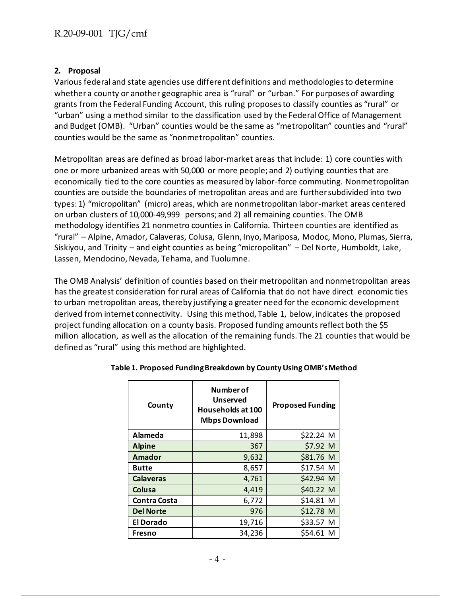### **2. Proposal**

Various federal and state agencies use different definitions and methodologies to determine whether a county or another geographic area is "rural" or "urban." For purposes of awarding grants from the Federal Funding Account, this ruling proposes to classify counties as "rural" or "urban" using a method similar to the classification used by the Federal Office of Management and Budget (OMB). "Urban" counties would be the same as "metropolitan" counties and "rural" counties would be the same as "nonmetropolitan" counties.

Metropolitan areas are defined as broad labor-market areas that include: 1) core counties with one or more urbanized areas with 50,000 or more people; and 2) outlying counties that are economically tied to the core counties as measured by labor-force commuting. Nonmetropolitan counties are outside the boundaries of metropolitan areas and are further subdivided into two types: 1) "micropolitan" (micro) areas, which are nonmetropolitan labor-market areas centered on urban clusters of 10,000-49,999 persons; and 2) all remaining counties. The OMB methodology identifies 21 nonmetro counties in California. Thirteen counties are identified as "rural" – Alpine, Amador, Calaveras, Colusa, Glenn, Inyo, Mariposa, Modoc, Mono, Plumas, Sierra, Siskiyou, and Trinity – and eight counties as being "micropolitan" – Del Norte, Humboldt, Lake, Lassen, Mendocino, Nevada, Tehama, and Tuolumne.

The OMB Analysis' definition of counties based on their metropolitan and nonmetropolitan areas has the greatest consideration for rural areas of California that do not have direct economic ties to urban metropolitan areas, thereby justifying a greater need for the economic development derived from internet connectivity. Using this method, Table 1, below, indicates the proposed project funding allocation on a county basis. Proposed funding amounts reflect both the \$5 million allocation, as well as the allocation of the remaining funds. The 21 counties that would be defined as "rural" using this method are highlighted.

| County              | Number of<br><b>Unserved</b><br>Households at 100<br><b>Mbps Download</b> | <b>Proposed Funding</b> |
|---------------------|---------------------------------------------------------------------------|-------------------------|
| Alameda             | 11,898                                                                    | \$22.24 M               |
| <b>Alpine</b>       | 367                                                                       | \$7.92 M                |
| Amador              | 9,632                                                                     | \$81.76 M               |
| <b>Butte</b>        | 8,657                                                                     | \$17.54 M               |
| <b>Calaveras</b>    | 4,761                                                                     | \$42.94 M               |
| Colusa              | 4,419                                                                     | \$40.22 M               |
| <b>Contra Costa</b> | 6,772                                                                     | \$14.81 M               |
| <b>Del Norte</b>    | 976                                                                       | \$12.78 M               |
| <b>El Dorado</b>    | 19,716                                                                    | \$33.57 M               |
| Fresno              | 34,236                                                                    | \$54.61 M               |

#### **Table 1. Proposed Funding Breakdown by County Using OMB's Method**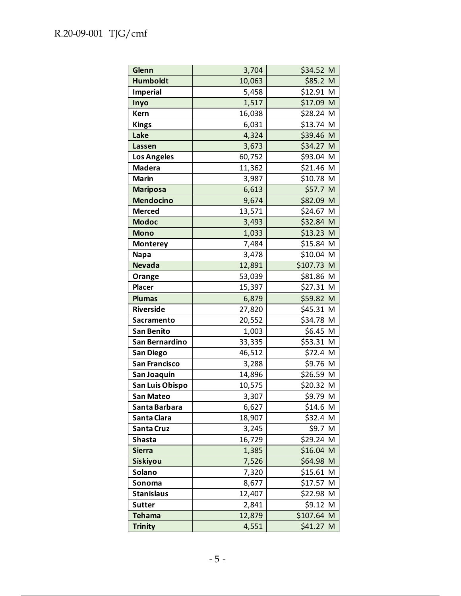| Glenn                | 3,704  | \$34.52 M  |
|----------------------|--------|------------|
| <b>Humboldt</b>      | 10,063 | \$85.2 M   |
| <b>Imperial</b>      | 5,458  | \$12.91 M  |
| Inyo                 | 1,517  | \$17.09 M  |
| <b>Kern</b>          | 16,038 | \$28.24 M  |
| <b>Kings</b>         | 6,031  | \$13.74 M  |
| Lake                 | 4,324  | \$39.46 M  |
| Lassen               | 3,673  | \$34.27 M  |
| <b>Los Angeles</b>   | 60,752 | \$93.04 M  |
| <b>Madera</b>        | 11,362 | \$21.46 M  |
| <b>Marin</b>         | 3,987  | \$10.78 M  |
| <b>Mariposa</b>      | 6,613  | \$57.7 M   |
| <b>Mendocino</b>     | 9,674  | \$82.09 M  |
| <b>Merced</b>        | 13,571 | \$24.67 M  |
| <b>Modoc</b>         | 3,493  | \$32.84 M  |
| <b>Mono</b>          | 1,033  | \$13.23 M  |
| <b>Monterey</b>      | 7,484  | \$15.84 M  |
| <b>Napa</b>          | 3,478  | \$10.04 M  |
| <b>Nevada</b>        | 12,891 | \$107.73 M |
| Orange               | 53,039 | \$81.86 M  |
| <b>Placer</b>        | 15,397 | \$27.31 M  |
| <b>Plumas</b>        | 6,879  | \$59.82 M  |
| <b>Riverside</b>     | 27,820 | \$45.31 M  |
| Sacramento           | 20,552 | \$34.78 M  |
| San Benito           | 1,003  | \$6.45 M   |
| San Bernardino       | 33,335 | \$53.31 M  |
| San Diego            | 46,512 | \$72.4 M   |
| <b>San Francisco</b> | 3,288  | \$9.76 M   |
| San Joaquin          | 14,896 | \$26.59 M  |
| San Luis Obispo      | 10,575 | \$20.32 M  |
| <b>San Mateo</b>     | 3,307  | \$9.79 M   |
| Santa Barbara        | 6,627  | \$14.6 M   |
| Santa Clara          | 18,907 | \$32.4 M   |
| Santa Cruz           | 3,245  | \$9.7 M    |
| Shasta               | 16,729 | \$29.24 M  |
| <b>Sierra</b>        | 1,385  | \$16.04 M  |
| <b>Siskiyou</b>      | 7,526  | \$64.98 M  |
| Solano               | 7,320  | \$15.61 M  |
| Sonoma               | 8,677  | \$17.57 M  |
| <b>Stanislaus</b>    | 12,407 | \$22.98 M  |
| <b>Sutter</b>        | 2,841  | \$9.12 M   |
| <b>Tehama</b>        | 12,879 | \$107.64 M |
| <b>Trinity</b>       | 4,551  | \$41.27 M  |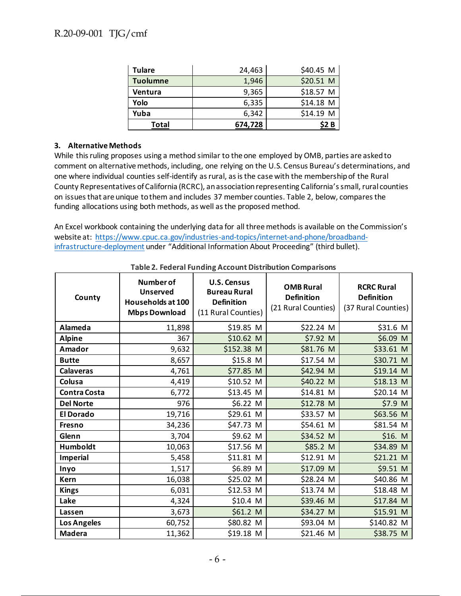| <b>Tulare</b>   | 24,463  | \$40.45 M |
|-----------------|---------|-----------|
| <b>Tuolumne</b> | 1,946   | \$20.51 M |
| Ventura         | 9,365   | \$18.57 M |
| Yolo            | 6,335   | \$14.18 M |
| Yuba            | 6,342   | \$14.19 M |
| Total           | 674,728 |           |

#### **3. Alternative Methods**

While this ruling proposes using a method similar to the one employed by OMB, parties are asked to comment on alternative methods, including, one relying on the U.S. Census Bureau's determinations, and one where individual counties self-identify as rural, as is the case with the membership of the Rural County Representatives of California (RCRC), an association representing California's small, rural counties on issues that are unique to them and includes 37 member counties. Table 2, below, compares the funding allocations using both methods, as well as the proposed method.

An Excel workbook containing the underlying data for all three methods is available on the Commission's website at: https://www.cpuc.ca.gov/industries-and-topics/internet-and-phone/broadbandinfrastructure-deployment under "Additional Information About Proceeding" (third bullet).

| County              | Number of<br><b>Unserved</b><br>Households at 100<br><b>Mbps Download</b> | <b>U.S. Census</b><br><b>Bureau Rural</b><br><b>Definition</b><br>(11 Rural Counties) | <b>OMB Rural</b><br><b>Definition</b><br>(21 Rural Counties) | <b>RCRC Rural</b><br><b>Definition</b><br>(37 Rural Counties) |
|---------------------|---------------------------------------------------------------------------|---------------------------------------------------------------------------------------|--------------------------------------------------------------|---------------------------------------------------------------|
| Alameda             | 11,898                                                                    | \$19.85 M                                                                             | \$22.24 M                                                    | \$31.6 M                                                      |
| <b>Alpine</b>       | 367                                                                       | \$10.62 M                                                                             | \$7.92 M                                                     | \$6.09 M                                                      |
| Amador              | 9,632                                                                     | \$152.38 M                                                                            | \$81.76 M                                                    | \$33.61 M                                                     |
| <b>Butte</b>        | 8,657                                                                     | \$15.8 M                                                                              | \$17.54 M                                                    | \$30.71 M                                                     |
| <b>Calaveras</b>    | 4,761                                                                     | \$77.85 M                                                                             | \$42.94 M                                                    | $$19.14$ M                                                    |
| Colusa              | 4,419                                                                     | \$10.52 M                                                                             | \$40.22 M                                                    | $$18.13$ M                                                    |
| <b>Contra Costa</b> | 6,772                                                                     | \$13.45 M                                                                             | \$14.81 M                                                    | \$20.14 M                                                     |
| <b>Del Norte</b>    | 976                                                                       | \$6.22 M                                                                              | \$12.78 M                                                    | \$7.9 M                                                       |
| <b>El Dorado</b>    | 19,716                                                                    | \$29.61 M                                                                             | \$33.57 M                                                    | \$63.56 M                                                     |
| <b>Fresno</b>       | 34,236                                                                    | \$47.73 M                                                                             | \$54.61 M                                                    | \$81.54 M                                                     |
| Glenn               | 3,704                                                                     | \$9.62 M                                                                              | \$34.52 M                                                    | \$16. M\$                                                     |
| Humboldt            | 10,063                                                                    | \$17.56 M                                                                             | \$85.2 M                                                     | \$34.89 M                                                     |
| <b>Imperial</b>     | 5,458                                                                     | \$11.81 M                                                                             | \$12.91 M                                                    | \$21.21 M                                                     |
| Inyo                | 1,517                                                                     | \$6.89 M                                                                              | \$17.09 M                                                    | \$9.51 M                                                      |
| Kern                | 16,038                                                                    | \$25.02 M                                                                             | \$28.24 M                                                    | \$40.86 M                                                     |
| <b>Kings</b>        | 6,031                                                                     | $$12.53$ M                                                                            | \$13.74 M                                                    | \$18.48 M                                                     |
| Lake                | 4,324                                                                     | \$10.4 M                                                                              | \$39.46 M                                                    | \$17.84 M                                                     |
| Lassen              | 3,673                                                                     | \$61.2 M                                                                              | \$34.27 M                                                    | \$15.91 M                                                     |
| Los Angeles         | 60,752                                                                    | \$80.82 M                                                                             | \$93.04 M                                                    | \$140.82 M                                                    |
| <b>Madera</b>       | 11,362                                                                    | \$19.18 M                                                                             | \$21.46 M                                                    | \$38.75 M                                                     |

**Table 2. Federal Funding Account Distribution Comparisons**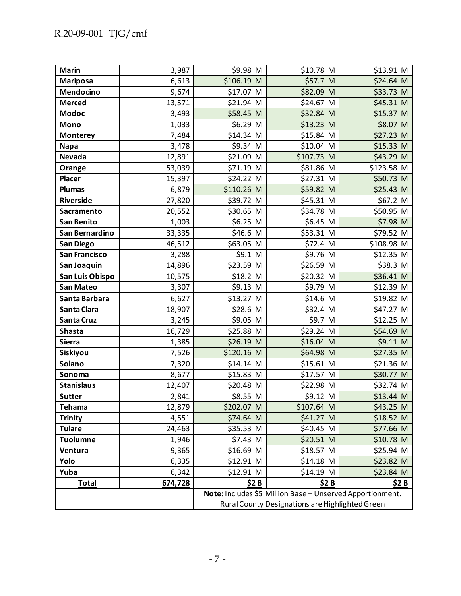| <b>Marin</b>                                              | 3,987   | \$9.98 M   | \$10.78 M  | \$13.91 M    |
|-----------------------------------------------------------|---------|------------|------------|--------------|
| <b>Mariposa</b>                                           | 6,613   | \$106.19 M | \$57.7 M   | \$24.64 M    |
| <b>Mendocino</b>                                          | 9,674   | \$17.07 M  | \$82.09 M  | \$33.73 M    |
| <b>Merced</b>                                             | 13,571  | \$21.94 M  | \$24.67 M  | \$45.31 M    |
| <b>Modoc</b>                                              | 3,493   | \$58.45 M  | \$32.84 M  | \$15.37 M    |
| <b>Mono</b>                                               | 1,033   | \$6.29 M   | \$13.23 M  | \$8.07 M     |
| <b>Monterey</b>                                           | 7,484   | \$14.34 M  | \$15.84 M  | \$27.23 M    |
| <b>Napa</b>                                               | 3,478   | \$9.34 M   | \$10.04 M  | \$15.33 M    |
| <b>Nevada</b>                                             | 12,891  | \$21.09 M  | \$107.73 M | \$43.29 M    |
| Orange                                                    | 53,039  | \$71.19 M  | \$81.86 M  | \$123.58 M   |
| <b>Placer</b>                                             | 15,397  | \$24.22 M  | \$27.31 M  | \$50.73 M    |
| <b>Plumas</b>                                             | 6,879   | \$110.26 M | \$59.82 M  | \$25.43 M    |
| <b>Riverside</b>                                          | 27,820  | \$39.72 M  | \$45.31 M  | \$67.2 M     |
| <b>Sacramento</b>                                         | 20,552  | \$30.65 M  | \$34.78 M  | \$50.95 M    |
| <b>San Benito</b>                                         | 1,003   | \$6.25 M   | \$6.45 M   | \$7.98 M     |
| San Bernardino                                            | 33,335  | \$46.6 M   | \$53.31 M  | \$79.52 M    |
| San Diego                                                 | 46,512  | \$63.05 M  | \$72.4 M   | \$108.98 M   |
| San Francisco                                             | 3,288   | \$9.1 M    | \$9.76 M   | $$12.35$ M   |
| San Joaquin                                               | 14,896  | \$23.59 M  | \$26.59 M  | \$38.3 M     |
| San Luis Obispo                                           | 10,575  | \$18.2 M   | \$20.32 M  | \$36.41 M    |
| San Mateo                                                 | 3,307   | \$9.13 M   | \$9.79 M   | \$12.39 M    |
| Santa Barbara                                             | 6,627   | \$13.27 M  | \$14.6 M   | \$19.82 M    |
| Santa Clara                                               | 18,907  | \$28.6 M   | \$32.4 M   | \$47.27 M    |
| Santa Cruz                                                | 3,245   | \$9.05 M   | \$9.7 M    | \$12.25 M    |
| <b>Shasta</b>                                             | 16,729  | \$25.88 M  | \$29.24 M  | \$54.69 M    |
| <b>Sierra</b>                                             | 1,385   | \$26.19 M  | \$16.04 M  | \$9.11 M     |
| <b>Siskiyou</b>                                           | 7,526   | \$120.16 M | \$64.98 M  | \$27.35 M    |
| Solano                                                    | 7,320   | \$14.14 M  | \$15.61 M  | \$21.36 M    |
| Sonoma                                                    | 8,677   | \$15.83 M  | \$17.57 M  | \$30.77 M    |
| <b>Stanislaus</b>                                         | 12,407  | \$20.48 M  | \$22.98 M  | \$32.74 M    |
| <b>Sutter</b>                                             | 2,841   | \$8.55 M   | \$9.12 M   | \$13.44 M    |
| <b>Tehama</b>                                             | 12,879  | \$202.07 M | \$107.64 M | \$43.25 M    |
| <b>Trinity</b>                                            | 4,551   | \$74.64 M  | \$41.27 M  | \$18.52 M    |
| <b>Tulare</b>                                             | 24,463  | \$35.53 M  | \$40.45 M  | \$77.66 M    |
| <b>Tuolumne</b>                                           | 1,946   | \$7.43 M   | \$20.51 M  | \$10.78 M    |
| Ventura                                                   | 9,365   | \$16.69 M  | \$18.57 M  | \$25.94 M    |
| Yolo                                                      | 6,335   | \$12.91 M  | \$14.18 M  | $$23.82$ M   |
| Yuba                                                      | 6,342   | \$12.91 M  | \$14.19 M  | \$23.84 M    |
| <b>Total</b>                                              | 674,728 | \$2 B      | \$2 B      | <u>\$2 B</u> |
| Note: Includes \$5 Million Base + Unserved Apportionment. |         |            |            |              |
| Rural County Designations are Highlighted Green           |         |            |            |              |